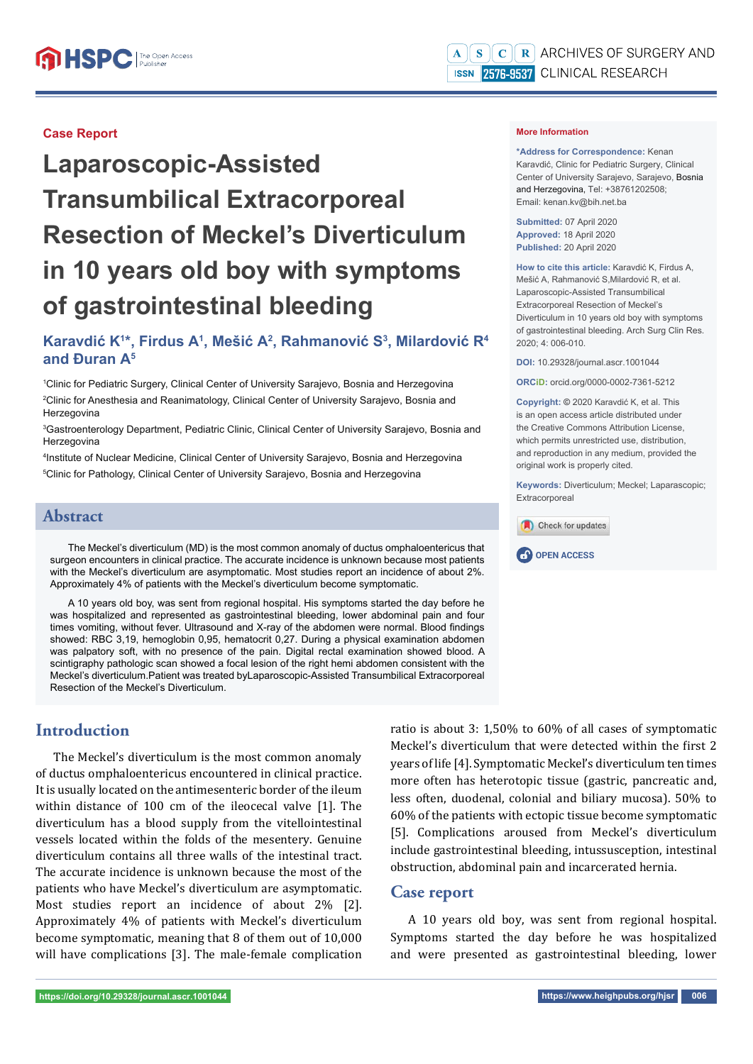#### **Case Report**

# **Laparoscopic-Assisted Transumbilical Extracorporeal Resection of Meckel's Diverticulum in 10 years old boy with symptoms of gastrointestinal bleeding**

## **Karavdić K1 \*, Firdus A1 , Mešić A2 , Rahmanović S3 , Milardović R4 and Đuran A5**

1 Clinic for Pediatric Surgery, Clinical Center of University Sarajevo, Bosnia and Herzegovina 2 Clinic for Anesthesia and Reanimatology, Clinical Center of University Sarajevo, Bosnia and Herzegovina

3 Gastroenterology Department, Pediatric Clinic, Clinical Center of University Sarajevo, Bosnia and Herzegovina

4 Institute of Nuclear Medicine, Clinical Center of University Sarajevo, Bosnia and Herzegovina 5 Clinic for Pathology, Clinical Center of University Sarajevo, Bosnia and Herzegovina

#### **Abstract**

The Meckel's diverticulum (MD) is the most common anomaly of ductus omphaloentericus that surgeon encounters in clinical practice. The accurate incidence is unknown because most patients with the Meckel's diverticulum are asymptomatic. Most studies report an incidence of about 2%. Approximately 4% of patients with the Meckel's diverticulum become symptomatic.

A 10 years old boy, was sent from regional hospital. His symptoms started the day before he was hospitalized and represented as gastrointestinal bleeding, lower abdominal pain and four times vomiting, without fever. Ultrasound and X-ray of the abdomen were normal. Blood findings showed: RBC 3,19, hemoglobin 0,95, hematocrit 0,27. During a physical examination abdomen was palpatory soft, with no presence of the pain. Digital rectal examination showed blood. A scintigraphy pathologic scan showed a focal lesion of the right hemi abdomen consistent with the Meckel's diverticulum.Patient was treated byLaparoscopic-Assisted Transumbilical Extracorporeal Resection of the Meckel's Diverticulum.

## **Introduction**

The Meckel's diverticulum is the most common anomaly of ductus omphaloentericus encountered in clinical practice. It is usually located on the antimesenteric border of the ileum within distance of 100 cm of the ileocecal valve [1]. The diverticulum has a blood supply from the vitellointestinal vessels located within the folds of the mesentery. Genuine diverticulum contains all three walls of the intestinal tract. The accurate incidence is unknown because the most of the patients who have Meckel's diverticulum are asymptomatic. Most studies report an incidence of about 2% [2]. Approximately 4% of patients with Meckel's diverticulum become symptomatic, meaning that 8 of them out of 10,000 will have complications [3]. The male-female complication

ratio is about 3: 1,50% to 60% of all cases of symptomatic Meckel's diverticulum that were detected within the first 2 years of life [4]. Symptomatic Meckel's diverticulum ten times more often has heterotopic tissue (gastric, pancreatic and, less often, duodenal, colonial and biliary mucosa). 50% to 60% of the patients with ectopic tissue become symptomatic [5]. Complications aroused from Meckel's diverticulum include gastrointestinal bleeding, intussusception, intestinal obstruction, abdominal pain and incarcerated hernia.

#### **Case report**

A 10 years old boy, was sent from regional hospital. Symptoms started the day before he was hospitalized and were presented as gastrointestinal bleeding, lower

**\*Address for Correspondence:** Kenan Karavdić, Clinic for Pediatric Surgery, Clinical Center of University Sarajevo, Sarajevo, Bosnia and Herzegovina, Tel: +38761202508; Email: kenan.kv@bih.net.ba

**Submitted:** 07 April 2020 **Approved:** 18 April 2020 **Published:** 20 April 2020

**How to cite this article:** Karavdić K, Firdus A, Mešić A, Rahmanović S,Milardović R, et al. Laparoscopic-Assisted Transumbilical Extracorporeal Resection of Meckel's Diverticulum in 10 years old boy with symptoms of gastrointestinal bleeding. Arch Surg Clin Res. 2020; 4: 006-010.

**DOI:** 10.29328/journal.ascr.1001044

**ORCiD:** orcid.org/0000-0002-7361-5212

**Copyright: ©** 2020 Karavdić K, et al. This is an open access article distributed under the Creative Commons Attribution License, which permits unrestricted use, distribution, and reproduction in any medium, provided the original work is properly cited.

**Keywords:** Diverticulum; Meckel; Laparascopic; **Extracorporeal** 



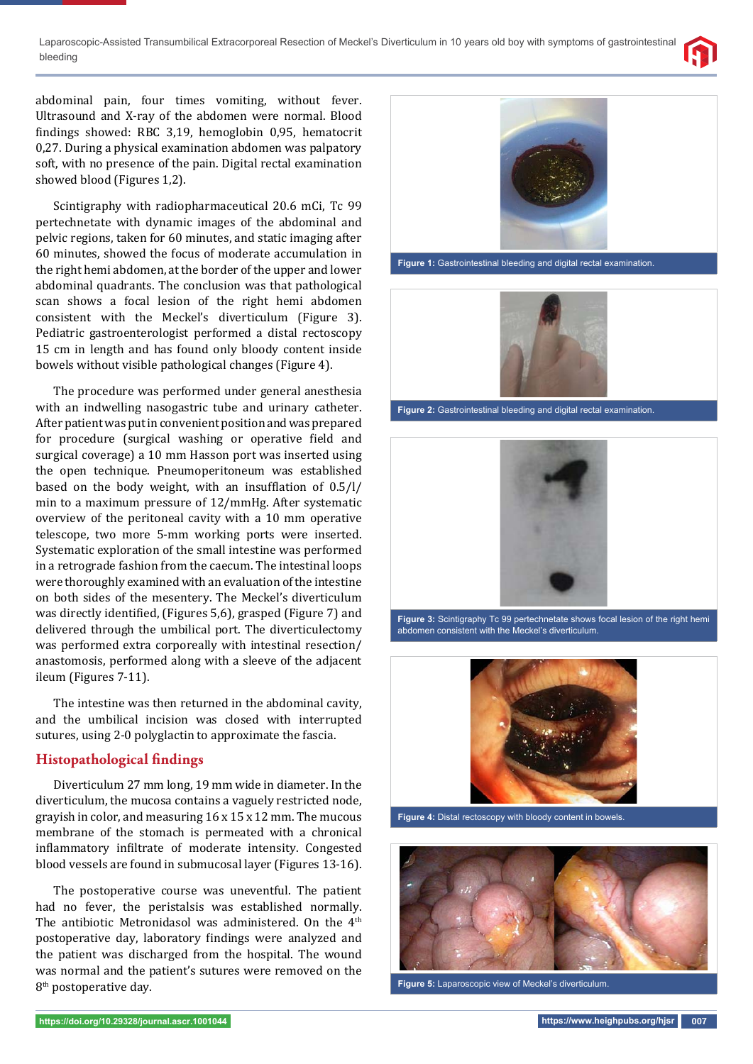Laparoscopic-Assisted Transumbilical Extracorporeal Resection of Meckel's Diverticulum in 10 years old boy with symptoms of gastrointestinal bleeding



abdominal pain, four times vomiting, without fever. Ultrasound and X-ray of the abdomen were normal. Blood findings showed: RBC 3,19, hemoglobin 0,95, hematocrit 0,27. During a physical examination abdomen was palpatory soft, with no presence of the pain. Digital rectal examination showed blood (Figures 1,2).

Scintigraphy with radiopharmaceutical 20.6 mCi, Tc 99 pertechnetate with dynamic images of the abdominal and pelvic regions, taken for 60 minutes, and static imaging after 60 minutes, showed the focus of moderate accumulation in the right hemi abdomen, at the border of the upper and lower abdominal quadrants. The conclusion was that pathological scan shows a focal lesion of the right hemi abdomen consistent with the Meckel's diverticulum (Figure 3). Pediatric gastroenterologist performed a distal rectoscopy 15 cm in length and has found only bloody content inside bowels without visible pathological changes (Figure 4).

The procedure was performed under general anesthesia with an indwelling nasogastric tube and urinary catheter. After patient was put in convenient position and was prepared for procedure (surgical washing or operative field and surgical coverage) a 10 mm Hasson port was inserted using the open technique. Pneumoperitoneum was established based on the body weight, with an insufflation of  $0.5/1/$ min to a maximum pressure of 12/mmHg. After systematic overview of the peritoneal cavity with a 10 mm operative telescope, two more 5-mm working ports were inserted. Systematic exploration of the small intestine was performed in a retrograde fashion from the caecum. The intestinal loops were thoroughly examined with an evaluation of the intestine on both sides of the mesentery. The Meckel's diverticulum was directly identified, (Figures 5,6), grasped (Figure 7) and delivered through the umbilical port. The diverticulectomy was performed extra corporeally with intestinal resection/ anastomosis, performed along with a sleeve of the adjacent ileum (Figures 7-11).

The intestine was then returned in the abdominal cavity, and the umbilical incision was closed with interrupted sutures, using 2-0 polyglactin to approximate the fascia.

#### **Histopathological findings**

Diverticulum 27 mm long, 19 mm wide in diameter. In the diverticulum, the mucosa contains a vaguely restricted node, grayish in color, and measuring 16 x 15 x 12 mm. The mucous membrane of the stomach is permeated with a chronical inflammatory infiltrate of moderate intensity. Congested blood vessels are found in submucosal layer (Figures 13-16).

The postoperative course was uneventful. The patient had no fever, the peristalsis was established normally. The antibiotic Metronidasol was administered. On the 4<sup>th</sup> postoperative day, laboratory findings were analyzed and the patient was discharged from the hospital. The wound was normal and the patient's sutures were removed on the 8<sup>th</sup> postoperative day.



**Figure 1:** Gastrointestinal bleeding and digital rectal examination.



**Figure 2:** Gastrointestinal bleeding and digital rectal examination.



**Figure 3:** Scintigraphy Tc 99 pertechnetate shows focal lesion of the right hemi abdomen consistent with the Meckel's diverticulum.



**Figure 4:** Distal rectoscopy with bloody content in bowels.



**Figure 5:** Laparoscopic view of Meckel's diverticulum.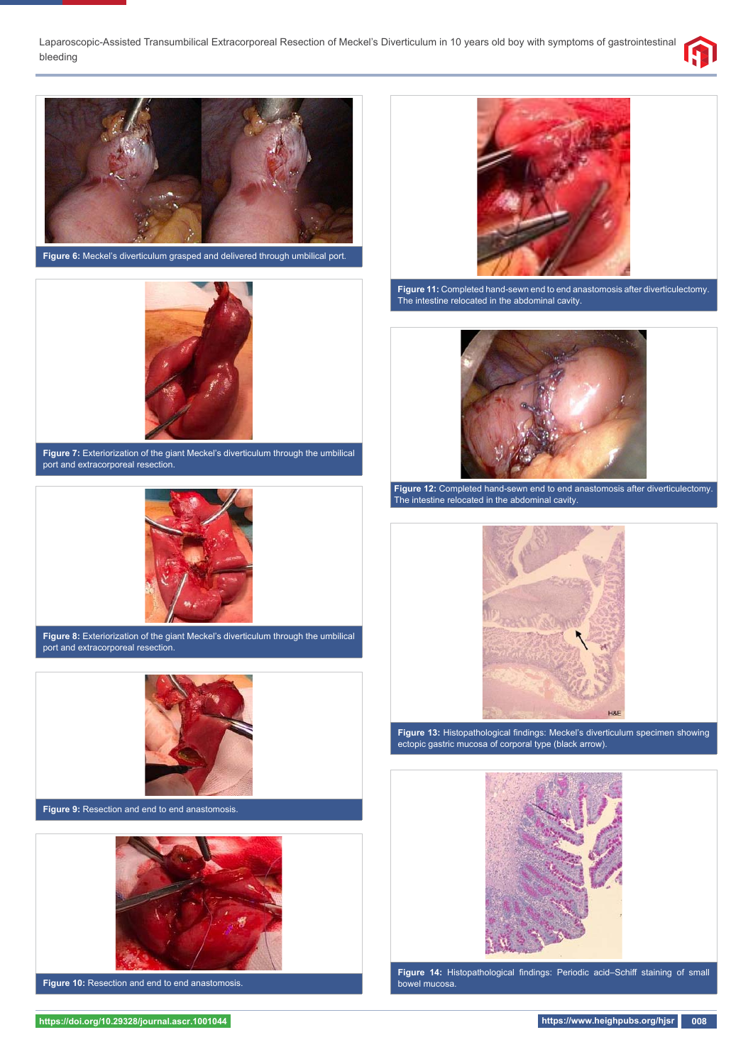Laparoscopic-Assisted Transumbilical Extracorporeal Resection of Meckel's Diverticulum in 10 years old boy with symptoms of gastrointestinal bleeding





**Figure 6:** Meckel's diverticulum grasped and delivered through umbilical port.



**Figure 7:** Exteriorization of the giant Meckel's diverticulum through the umbilical port and extracorporeal resection.



**Figure 8:** Exteriorization of the giant Meckel's diverticulum through the umbilical port and extracorporeal resection.



**Figure 9:** Resection and end to end anastomosis.



**Figure 10:** Resection and end to end anastomosis.



**Figure 11:** Completed hand-sewn end to end anastomosis after diverticulectomy. The intestine relocated in the abdominal cavity.



**Figure 12:** Completed hand-sewn end to end anastomosis after diverticulectomy. The intestine relocated in the abdominal cavity.



Figure 13: Histopathological findings: Meckel's diverticulum specimen showing ectopic gastric mucosa of corporal type (black arrow).



Figure 14: Histopathological findings: Periodic acid-Schiff staining of small bowel mucosa.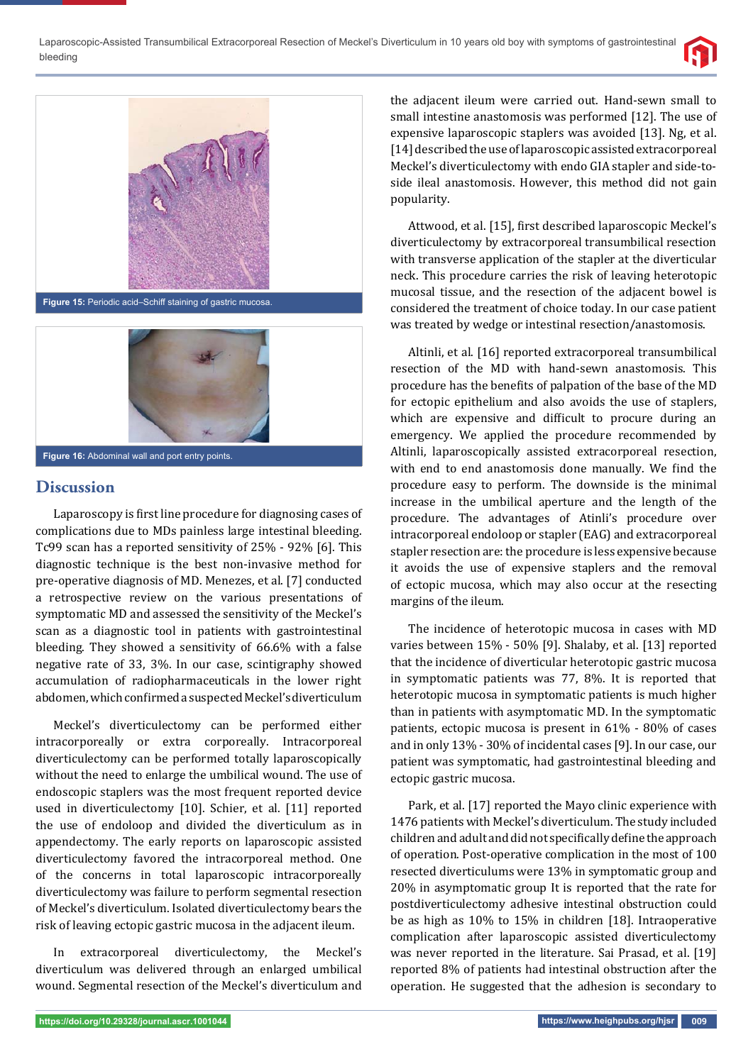





### **Discussion**

Laparoscopy is first line procedure for diagnosing cases of complications due to MDs painless large intestinal bleeding. Tc99 scan has a reported sensitivity of 25% - 92% [6]. This diagnostic technique is the best non-invasive method for pre-operative diagnosis of MD. Menezes, et al. [7] conducted a retrospective review on the various presentations of symptomatic MD and assessed the sensitivity of the Meckel's scan as a diagnostic tool in patients with gastrointestinal bleeding. They showed a sensitivity of 66.6% with a false negative rate of 33, 3%. In our case, scintigraphy showed accumulation of radiopharmaceuticals in the lower right abdomen, which confirmed a suspected Meckel's diverticulum

Meckel's diverticulectomy can be performed either intracorporeally or extra corporeally. Intracorporeal diverticulectomy can be performed totally laparoscopically without the need to enlarge the umbilical wound. The use of endoscopic staplers was the most frequent reported device used in diverticulectomy [10]. Schier, et al. [11] reported the use of endoloop and divided the diverticulum as in appendectomy. The early reports on laparoscopic assisted diverticulectomy favored the intracorporeal method. One of the concerns in total laparoscopic intracorporeally diverticulectomy was failure to perform segmental resection of Meckel's diverticulum. Isolated diverticulectomy bears the risk of leaving ectopic gastric mucosa in the adjacent ileum.

In extracorporeal diverticulectomy, the Meckel's diverticulum was delivered through an enlarged umbilical wound. Segmental resection of the Meckel's diverticulum and

the adjacent ileum were carried out. Hand-sewn small to small intestine anastomosis was performed [12]. The use of expensive laparoscopic staplers was avoided [13]. Ng, et al. [14] described the use of laparoscopic assisted extracorporeal Meckel's diverticulectomy with endo GIA stapler and side-toside ileal anastomosis. However, this method did not gain popularity.

Attwood, et al. [15], first described laparoscopic Meckel's diverticulectomy by extracorporeal transumbilical resection with transverse application of the stapler at the diverticular neck. This procedure carries the risk of leaving heterotopic mucosal tissue, and the resection of the adjacent bowel is considered the treatment of choice today. In our case patient was treated by wedge or intestinal resection/anastomosis.

Altinli, et al. [16] reported extracorporeal transumbilical resection of the MD with hand-sewn anastomosis. This procedure has the benefits of palpation of the base of the MD for ectopic epithelium and also avoids the use of staplers, which are expensive and difficult to procure during an emergency. We applied the procedure recommended by Altinli, laparoscopically assisted extracorporeal resection, with end to end anastomosis done manually. We find the procedure easy to perform. The downside is the minimal increase in the umbilical aperture and the length of the procedure. The advantages of Atinli's procedure over intracorporeal endoloop or stapler (EAG) and extracorporeal stapler resection are: the procedure is less expensive because it avoids the use of expensive staplers and the removal of ectopic mucosa, which may also occur at the resecting margins of the ileum.

The incidence of heterotopic mucosa in cases with MD varies between 15% - 50% [9]. Shalaby, et al. [13] reported that the incidence of diverticular heterotopic gastric mucosa in symptomatic patients was 77, 8%. It is reported that heterotopic mucosa in symptomatic patients is much higher than in patients with asymptomatic MD. In the symptomatic patients, ectopic mucosa is present in 61% - 80% of cases and in only 13% - 30% of incidental cases [9]. In our case, our patient was symptomatic, had gastrointestinal bleeding and ectopic gastric mucosa.

Park, et al. [17] reported the Mayo clinic experience with 1476 patients with Meckel's diverticulum. The study included children and adult and did not specifically define the approach of operation. Post-operative complication in the most of 100 resected diverticulums were 13% in symptomatic group and 20% in asymptomatic group It is reported that the rate for postdiverticulectomy adhesive intestinal obstruction could be as high as 10% to 15% in children [18]. Intraoperative complication after laparoscopic assisted diverticulectomy was never reported in the literature. Sai Prasad, et al. [19] reported 8% of patients had intestinal obstruction after the operation. He suggested that the adhesion is secondary to